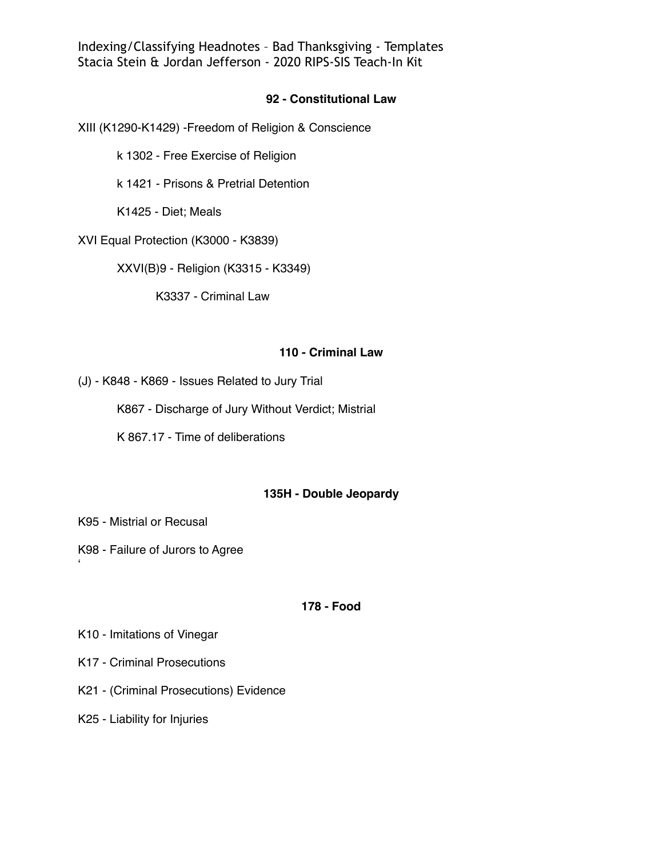Indexing/Classifying Headnotes – Bad Thanksgiving - Templates Stacia Stein & Jordan Jefferson - 2020 RIPS-SIS Teach-In Kit

# **92 - Constitutional Law**

XIII (K1290-K1429) -Freedom of Religion & Conscience

k 1302 - Free Exercise of Religion

k 1421 - Prisons & Pretrial Detention

K1425 - Diet; Meals

XVI Equal Protection (K3000 - K3839)

XXVI(B)9 - Religion (K3315 - K3349)

K3337 - Criminal Law

### **110 - Criminal Law**

(J) - K848 - K869 - Issues Related to Jury Trial

K867 - Discharge of Jury Without Verdict; Mistrial

K 867.17 - Time of deliberations

# **135H - Double Jeopardy**

K95 - Mistrial or Recusal

'

K98 - Failure of Jurors to Agree

### **178 - Food**

K10 - Imitations of Vinegar

- K17 Criminal Prosecutions
- K21 (Criminal Prosecutions) Evidence

K25 - Liability for Injuries